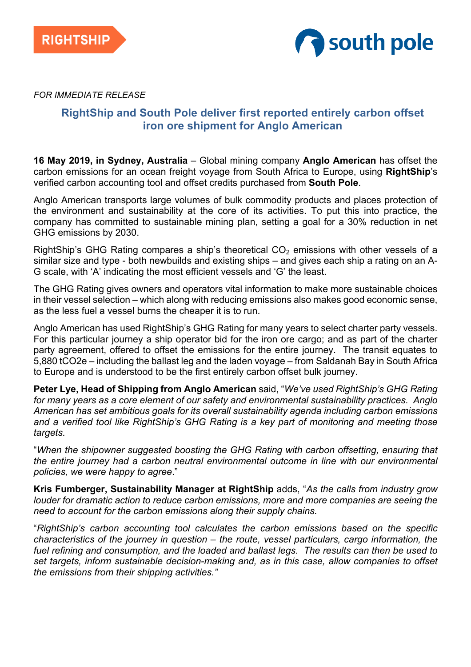



*FOR IMMEDIATE RELEASE*

# **RightShip and South Pole deliver first reported entirely carbon offset iron ore shipment for Anglo American**

**16 May 2019, in Sydney, Australia** – Global mining company **Anglo American** has offset the carbon emissions for an ocean freight voyage from South Africa to Europe, using **RightShip**'s verified carbon accounting tool and offset credits purchased from **South Pole**.

Anglo American transports large volumes of bulk commodity products and places protection of the environment and sustainability at the core of its activities. To put this into practice, the company has committed to sustainable mining plan, setting a goal for a 30% reduction in net GHG emissions by 2030.

RightShip's GHG Rating compares a ship's theoretical  $CO<sub>2</sub>$  emissions with other vessels of a similar size and type - both newbuilds and existing ships – and gives each ship a rating on an A-G scale, with 'A' indicating the most efficient vessels and 'G' the least.

The GHG Rating gives owners and operators vital information to make more sustainable choices in their vessel selection – which along with reducing emissions also makes good economic sense, as the less fuel a vessel burns the cheaper it is to run.

Anglo American has used RightShip's GHG Rating for many years to select charter party vessels. For this particular journey a ship operator bid for the iron ore cargo; and as part of the charter party agreement, offered to offset the emissions for the entire journey. The transit equates to 5,880 tCO2e – including the ballast leg and the laden voyage – from Saldanah Bay in South Africa to Europe and is understood to be the first entirely carbon offset bulk journey.

**Peter Lye, Head of Shipping from Anglo American** said, "*We've used RightShip's GHG Rating for many years as a core element of our safety and environmental sustainability practices. Anglo American has set ambitious goals for its overall sustainability agenda including carbon emissions and a verified tool like RightShip's GHG Rating is a key part of monitoring and meeting those targets.*

"*When the shipowner suggested boosting the GHG Rating with carbon offsetting, ensuring that the entire journey had a carbon neutral environmental outcome in line with our environmental policies, we were happy to agree*."

**Kris Fumberger, Sustainability Manager at RightShip** adds, "*As the calls from industry grow louder for dramatic action to reduce carbon emissions, more and more companies are seeing the need to account for the carbon emissions along their supply chains.* 

"*RightShip's carbon accounting tool calculates the carbon emissions based on the specific characteristics of the journey in question – the route, vessel particulars, cargo information, the fuel refining and consumption, and the loaded and ballast legs. The results can then be used to set targets, inform sustainable decision-making and, as in this case, allow companies to offset the emissions from their shipping activities."*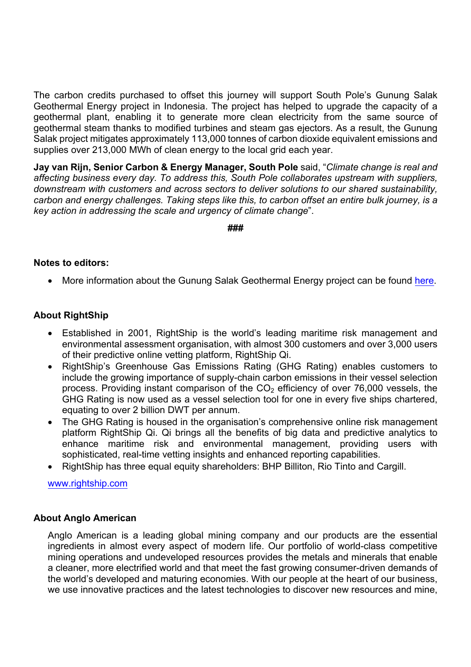The carbon credits purchased to offset this journey will support South Pole's Gunung Salak Geothermal Energy project in Indonesia. The project has helped to upgrade the capacity of a geothermal plant, enabling it to generate more clean electricity from the same source of geothermal steam thanks to modified turbines and steam gas ejectors. As a result, the Gunung Salak project mitigates approximately 113,000 tonnes of carbon dioxide equivalent emissions and supplies over 213,000 MWh of clean energy to the local grid each year.

**Jay van Rijn, Senior Carbon & Energy Manager, South Pole** said, "*Climate change is real and affecting business every day. To address this, South Pole collaborates upstream with suppliers, downstream with customers and across sectors to deliver solutions to our shared sustainability, carbon and energy challenges. Taking steps like this, to carbon offset an entire bulk journey, is a key action in addressing the scale and urgency of climate change*".

**###**

# **Notes to editors:**

• More information about the Gunung Salak Geothermal Energy project can be found here.

# **About RightShip**

- Established in 2001, RightShip is the world's leading maritime risk management and environmental assessment organisation, with almost 300 customers and over 3,000 users of their predictive online vetting platform, RightShip Qi.
- RightShip's Greenhouse Gas Emissions Rating (GHG Rating) enables customers to include the growing importance of supply-chain carbon emissions in their vessel selection process. Providing instant comparison of the  $CO<sub>2</sub>$  efficiency of over 76,000 vessels, the GHG Rating is now used as a vessel selection tool for one in every five ships chartered, equating to over 2 billion DWT per annum.
- The GHG Rating is housed in the organisation's comprehensive online risk management platform RightShip Qi. Qi brings all the benefits of big data and predictive analytics to enhance maritime risk and environmental management, providing users with sophisticated, real-time vetting insights and enhanced reporting capabilities.
- RightShip has three equal equity shareholders: BHP Billiton, Rio Tinto and Cargill.

www.rightship.com

## **About Anglo American**

Anglo American is a leading global mining company and our products are the essential ingredients in almost every aspect of modern life. Our portfolio of world-class competitive mining operations and undeveloped resources provides the metals and minerals that enable a cleaner, more electrified world and that meet the fast growing consumer-driven demands of the world's developed and maturing economies. With our people at the heart of our business, we use innovative practices and the latest technologies to discover new resources and mine,